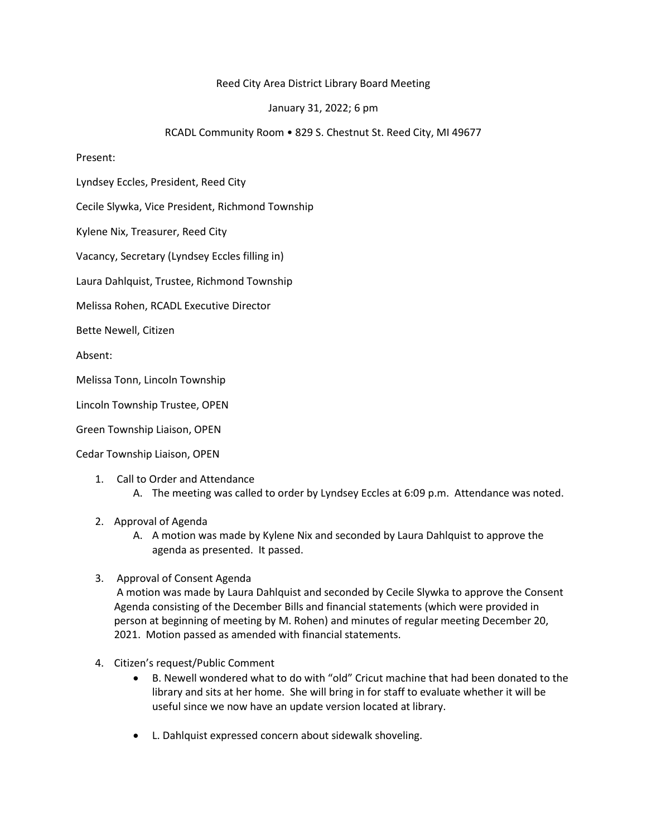## Reed City Area District Library Board Meeting

## January 31, 2022; 6 pm

## RCADL Community Room • 829 S. Chestnut St. Reed City, MI 49677

## Present:

Lyndsey Eccles, President, Reed City

Cecile Slywka, Vice President, Richmond Township

Kylene Nix, Treasurer, Reed City

Vacancy, Secretary (Lyndsey Eccles filling in)

Laura Dahlquist, Trustee, Richmond Township

Melissa Rohen, RCADL Executive Director

Bette Newell, Citizen

Absent:

Melissa Tonn, Lincoln Township

Lincoln Township Trustee, OPEN

Green Township Liaison, OPEN

Cedar Township Liaison, OPEN

- 1. Call to Order and Attendance
	- A. The meeting was called to order by Lyndsey Eccles at 6:09 p.m. Attendance was noted.
- 2. Approval of Agenda
	- A. A motion was made by Kylene Nix and seconded by Laura Dahlquist to approve the agenda as presented. It passed.
- 3. Approval of Consent Agenda

A motion was made by Laura Dahlquist and seconded by Cecile Slywka to approve the Consent Agenda consisting of the December Bills and financial statements (which were provided in person at beginning of meeting by M. Rohen) and minutes of regular meeting December 20, 2021. Motion passed as amended with financial statements.

- 4. Citizen's request/Public Comment
	- B. Newell wondered what to do with "old" Cricut machine that had been donated to the library and sits at her home. She will bring in for staff to evaluate whether it will be useful since we now have an update version located at library.
	- L. Dahlquist expressed concern about sidewalk shoveling.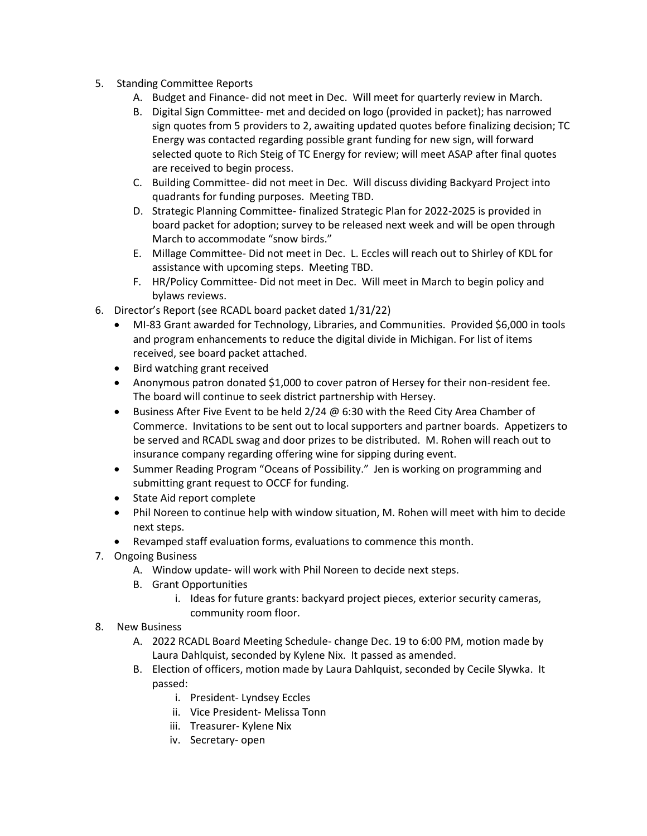- 5. Standing Committee Reports
	- A. Budget and Finance- did not meet in Dec. Will meet for quarterly review in March.
	- B. Digital Sign Committee- met and decided on logo (provided in packet); has narrowed sign quotes from 5 providers to 2, awaiting updated quotes before finalizing decision; TC Energy was contacted regarding possible grant funding for new sign, will forward selected quote to Rich Steig of TC Energy for review; will meet ASAP after final quotes are received to begin process.
	- C. Building Committee- did not meet in Dec. Will discuss dividing Backyard Project into quadrants for funding purposes. Meeting TBD.
	- D. Strategic Planning Committee- finalized Strategic Plan for 2022-2025 is provided in board packet for adoption; survey to be released next week and will be open through March to accommodate "snow birds."
	- E. Millage Committee- Did not meet in Dec. L. Eccles will reach out to Shirley of KDL for assistance with upcoming steps. Meeting TBD.
	- F. HR/Policy Committee- Did not meet in Dec. Will meet in March to begin policy and bylaws reviews.
- 6. Director's Report (see RCADL board packet dated 1/31/22)
	- MI-83 Grant awarded for Technology, Libraries, and Communities. Provided \$6,000 in tools and program enhancements to reduce the digital divide in Michigan. For list of items received, see board packet attached.
	- Bird watching grant received
	- Anonymous patron donated \$1,000 to cover patron of Hersey for their non-resident fee. The board will continue to seek district partnership with Hersey.
	- Business After Five Event to be held 2/24 @ 6:30 with the Reed City Area Chamber of Commerce. Invitations to be sent out to local supporters and partner boards. Appetizers to be served and RCADL swag and door prizes to be distributed. M. Rohen will reach out to insurance company regarding offering wine for sipping during event.
	- Summer Reading Program "Oceans of Possibility." Jen is working on programming and submitting grant request to OCCF for funding.
	- State Aid report complete
	- Phil Noreen to continue help with window situation, M. Rohen will meet with him to decide next steps.
	- Revamped staff evaluation forms, evaluations to commence this month.
- 7. Ongoing Business
	- A. Window update- will work with Phil Noreen to decide next steps.
	- B. Grant Opportunities
		- i. Ideas for future grants: backyard project pieces, exterior security cameras, community room floor.
- 8. New Business
	- A. 2022 RCADL Board Meeting Schedule- change Dec. 19 to 6:00 PM, motion made by Laura Dahlquist, seconded by Kylene Nix. It passed as amended.
	- B. Election of officers, motion made by Laura Dahlquist, seconded by Cecile Slywka. It passed:
		- i. President- Lyndsey Eccles
		- ii. Vice President- Melissa Tonn
		- iii. Treasurer- Kylene Nix
		- iv. Secretary- open